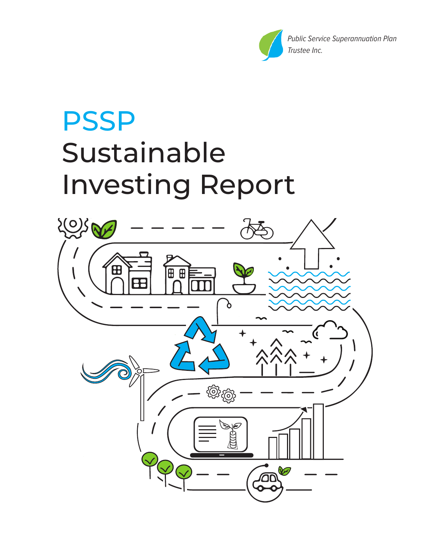

*Public Service Superannuation Plan Trustee Inc.* 

# **PSSP** Sustainable Investing Report

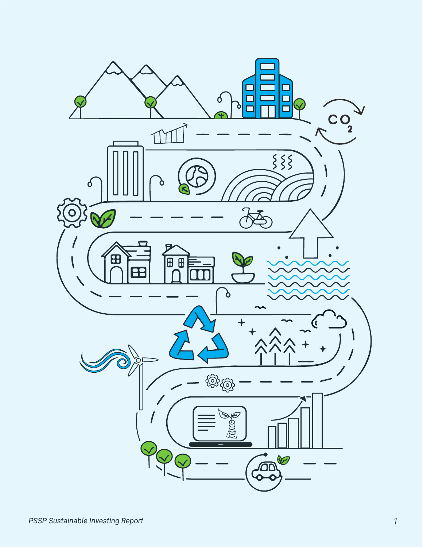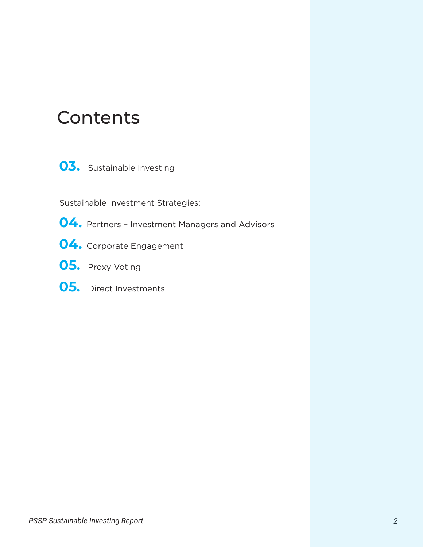# **Contents**

**03.** Sustainable Investing

Sustainable Investment Strategies:

- **04.** Partners Investment Managers and Advisors
- **04.** Corporate Engagement
- **05.** Proxy Voting
- **05.** Direct Investments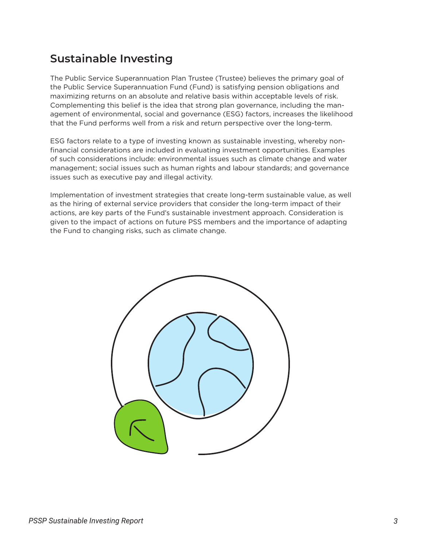## **Sustainable Investing**

The Public Service Superannuation Plan Trustee (Trustee) believes the primary goal of the Public Service Superannuation Fund (Fund) is satisfying pension obligations and maximizing returns on an absolute and relative basis within acceptable levels of risk. Complementing this belief is the idea that strong plan governance, including the management of environmental, social and governance (ESG) factors, increases the likelihood that the Fund performs well from a risk and return perspective over the long-term.

ESG factors relate to a type of investing known as sustainable investing, whereby nonfinancial considerations are included in evaluating investment opportunities. Examples of such considerations include: environmental issues such as climate change and water management; social issues such as human rights and labour standards; and governance issues such as executive pay and illegal activity.

Implementation of investment strategies that create long-term sustainable value, as well as the hiring of external service providers that consider the long-term impact of their actions, are key parts of the Fund's sustainable investment approach. Consideration is given to the impact of actions on future PSS members and the importance of adapting the Fund to changing risks, such as climate change.

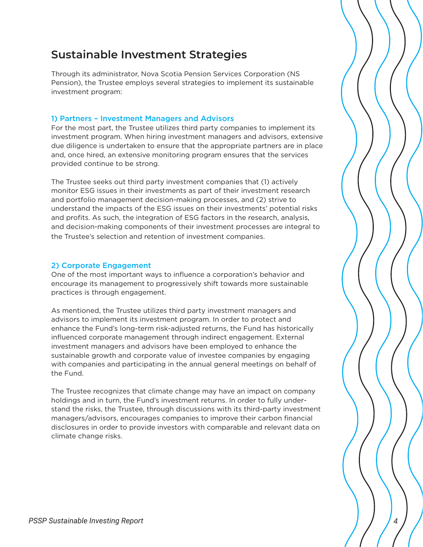### **Sustainable Investment Strategies**

Through its administrator, Nova Scotia Pension Services Corporation (NS Pension), the Trustee employs several strategies to implement its sustainable investment program:

#### 1) Partners – Investment Managers and Advisors

For the most part, the Trustee utilizes third party companies to implement its investment program. When hiring investment managers and advisors, extensive due diligence is undertaken to ensure that the appropriate partners are in place and, once hired, an extensive monitoring program ensures that the services provided continue to be strong.

The Trustee seeks out third party investment companies that (1) actively monitor ESG issues in their investments as part of their investment research and portfolio management decision-making processes, and (2) strive to understand the impacts of the ESG issues on their investments' potential risks and profits. As such, the integration of ESG factors in the research, analysis, and decision-making components of their investment processes are integral to the Trustee's selection and retention of investment companies.

#### 2) Corporate Engagement

One of the most important ways to influence a corporation's behavior and encourage its management to progressively shift towards more sustainable practices is through engagement.

As mentioned, the Trustee utilizes third party investment managers and advisors to implement its investment program. In order to protect and enhance the Fund's long-term risk-adjusted returns, the Fund has historically influenced corporate management through indirect engagement. External investment managers and advisors have been employed to enhance the sustainable growth and corporate value of investee companies by engaging with companies and participating in the annual general meetings on behalf of the Fund.

The Trustee recognizes that climate change may have an impact on company holdings and in turn, the Fund's investment returns. In order to fully understand the risks, the Trustee, through discussions with its third-party investment managers/advisors, encourages companies to improve their carbon financial disclosures in order to provide investors with comparable and relevant data on climate change risks.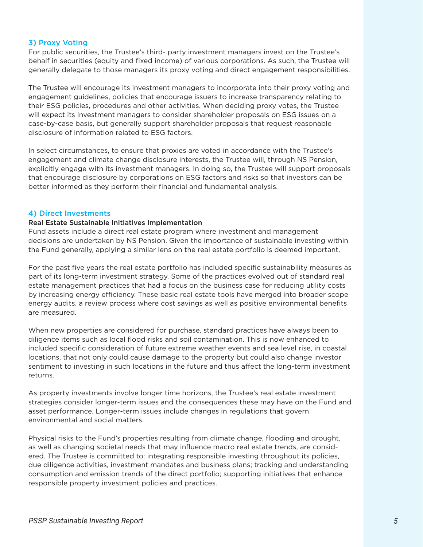#### 3) Proxy Voting

For public securities, the Trustee's third- party investment managers invest on the Trustee's behalf in securities (equity and fixed income) of various corporations. As such, the Trustee will generally delegate to those managers its proxy voting and direct engagement responsibilities.

The Trustee will encourage its investment managers to incorporate into their proxy voting and engagement guidelines, policies that encourage issuers to increase transparency relating to their ESG policies, procedures and other activities. When deciding proxy votes, the Trustee will expect its investment managers to consider shareholder proposals on ESG issues on a case-by-case basis, but generally support shareholder proposals that request reasonable disclosure of information related to ESG factors.

In select circumstances, to ensure that proxies are voted in accordance with the Trustee's engagement and climate change disclosure interests, the Trustee will, through NS Pension, explicitly engage with its investment managers. In doing so, the Trustee will support proposals that encourage disclosure by corporations on ESG factors and risks so that investors can be better informed as they perform their financial and fundamental analysis.

#### 4) Direct Investments

#### Real Estate Sustainable Initiatives Implementation

Fund assets include a direct real estate program where investment and management decisions are undertaken by NS Pension. Given the importance of sustainable investing within the Fund generally, applying a similar lens on the real estate portfolio is deemed important.

For the past five years the real estate portfolio has included specific sustainability measures as part of its long-term investment strategy. Some of the practices evolved out of standard real estate management practices that had a focus on the business case for reducing utility costs by increasing energy efficiency. These basic real estate tools have merged into broader scope energy audits, a review process where cost savings as well as positive environmental benefits are measured.

When new properties are considered for purchase, standard practices have always been to diligence items such as local flood risks and soil contamination. This is now enhanced to included specific consideration of future extreme weather events and sea level rise, in coastal locations, that not only could cause damage to the property but could also change investor sentiment to investing in such locations in the future and thus affect the long-term investment returns.

As property investments involve longer time horizons, the Trustee's real estate investment strategies consider longer-term issues and the consequences these may have on the Fund and asset performance. Longer-term issues include changes in regulations that govern environmental and social matters.

Physical risks to the Fund's properties resulting from climate change, flooding and drought, as well as changing societal needs that may influence macro real estate trends, are considered. The Trustee is committed to: integrating responsible investing throughout its policies, due diligence activities, investment mandates and business plans; tracking and understanding consumption and emission trends of the direct portfolio; supporting initiatives that enhance responsible property investment policies and practices.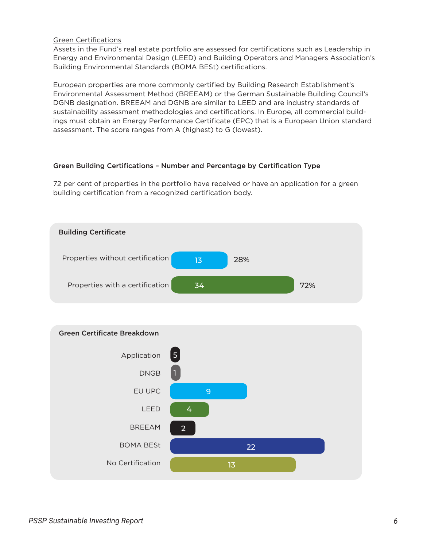#### Green Certifications

Assets in the Fund's real estate portfolio are assessed for certifications such as Leadership in Energy and Environmental Design (LEED) and Building Operators and Managers Association's Building Environmental Standards (BOMA BESt) certifications.

European properties are more commonly certified by Building Research Establishment's Environmental Assessment Method (BREEAM) or the German Sustainable Building Council's DGNB designation. BREEAM and DGNB are similar to LEED and are industry standards of sustainability assessment methodologies and certifications. In Europe, all commercial buildings must obtain an Energy Performance Certificate (EPC) that is a European Union standard assessment. The score ranges from A (highest) to G (lowest).

#### Green Building Certifications – Number and Percentage by Certification Type

72 per cent of properties in the portfolio have received or have an application for a green building certification from a recognized certification body.



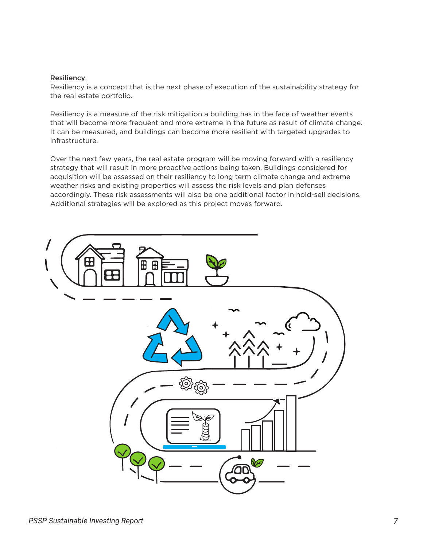#### Resiliency

Resiliency is a concept that is the next phase of execution of the sustainability strategy for the real estate portfolio.

Resiliency is a measure of the risk mitigation a building has in the face of weather events that will become more frequent and more extreme in the future as result of climate change. It can be measured, and buildings can become more resilient with targeted upgrades to infrastructure.

Over the next few years, the real estate program will be moving forward with a resiliency strategy that will result in more proactive actions being taken. Buildings considered for acquisition will be assessed on their resiliency to long term climate change and extreme weather risks and existing properties will assess the risk levels and plan defenses accordingly. These risk assessments will also be one additional factor in hold-sell decisions. Additional strategies will be explored as this project moves forward.